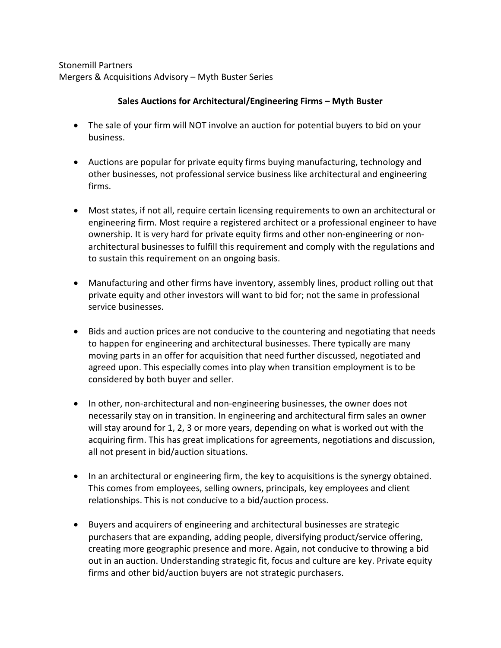Stonemill Partners Mergers & Acquisitions Advisory – Myth Buster Series

## **Sales Auctions for Architectural/Engineering Firms – Myth Buster**

- The sale of your firm will NOT involve an auction for potential buyers to bid on your business.
- Auctions are popular for private equity firms buying manufacturing, technology and other businesses, not professional service business like architectural and engineering firms.
- Most states, if not all, require certain licensing requirements to own an architectural or engineering firm. Most require a registered architect or a professional engineer to have ownership. It is very hard for private equity firms and other non-engineering or nonarchitectural businesses to fulfill this requirement and comply with the regulations and to sustain this requirement on an ongoing basis.
- Manufacturing and other firms have inventory, assembly lines, product rolling out that private equity and other investors will want to bid for; not the same in professional service businesses.
- Bids and auction prices are not conducive to the countering and negotiating that needs to happen for engineering and architectural businesses. There typically are many moving parts in an offer for acquisition that need further discussed, negotiated and agreed upon. This especially comes into play when transition employment is to be considered by both buyer and seller.
- In other, non-architectural and non-engineering businesses, the owner does not necessarily stay on in transition. In engineering and architectural firm sales an owner will stay around for 1, 2, 3 or more years, depending on what is worked out with the acquiring firm. This has great implications for agreements, negotiations and discussion, all not present in bid/auction situations.
- In an architectural or engineering firm, the key to acquisitions is the synergy obtained. This comes from employees, selling owners, principals, key employees and client relationships. This is not conducive to a bid/auction process.
- Buyers and acquirers of engineering and architectural businesses are strategic purchasers that are expanding, adding people, diversifying product/service offering, creating more geographic presence and more. Again, not conducive to throwing a bid out in an auction. Understanding strategic fit, focus and culture are key. Private equity firms and other bid/auction buyers are not strategic purchasers.